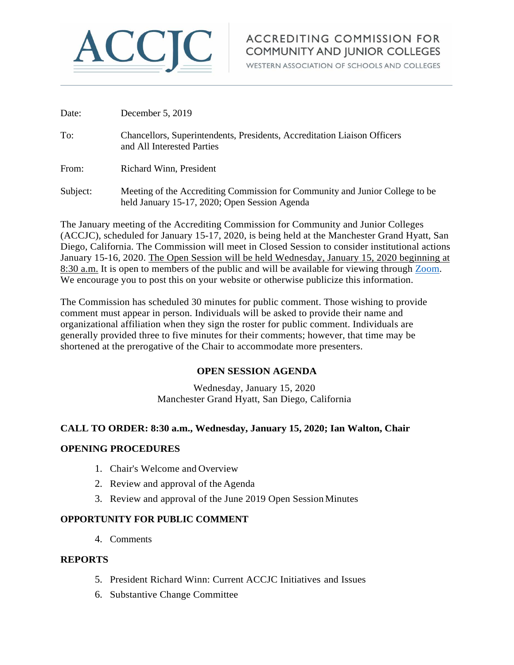

# **ACCREDITING COMMISSION FOR COMMUNITY AND JUNIOR COLLEGES**

WESTERN ASSOCIATION OF SCHOOLS AND COLLEGES

| Date:    | December 5, 2019                                                                                                              |
|----------|-------------------------------------------------------------------------------------------------------------------------------|
| To:      | Chancellors, Superintendents, Presidents, Accreditation Liaison Officers<br>and All Interested Parties                        |
| From:    | Richard Winn, President                                                                                                       |
| Subject: | Meeting of the Accrediting Commission for Community and Junior College to be<br>held January 15-17, 2020; Open Session Agenda |

The January meeting of the Accrediting Commission for Community and Junior Colleges (ACCJC), scheduled for January 15-17, 2020, is being held at the Manchester Grand Hyatt, San Diego, California. The Commission will meet in Closed Session to consider institutional actions January 15-16, 2020. The Open Session will be held Wednesday, January 15, 2020 beginning at 8:30 a.m. It is open to members of the public and will be available for viewing through [Zoom.](https://zoom.us/j/797182388) We encourage you to post this on your website or otherwise publicize this information.

The Commission has scheduled 30 minutes for public comment. Those wishing to provide comment must appear in person. Individuals will be asked to provide their name and organizational affiliation when they sign the roster for public comment. Individuals are generally provided three to five minutes for their comments; however, that time may be shortened at the prerogative of the Chair to accommodate more presenters.

### **OPEN SESSION AGENDA**

Wednesday, January 15, 2020 Manchester Grand Hyatt, San Diego, California

### **CALL TO ORDER: 8:30 a.m., Wednesday, January 15, 2020; Ian Walton, Chair**

#### **OPENING PROCEDURES**

- 1. Chair's Welcome and Overview
- 2. Review and approval of the Agenda
- 3. Review and approval of the June 2019 Open Session Minutes

#### **OPPORTUNITY FOR PUBLIC COMMENT**

4. Comments

#### **REPORTS**

- 5. President Richard Winn: Current ACCJC Initiatives and Issues
- 6. Substantive Change Committee